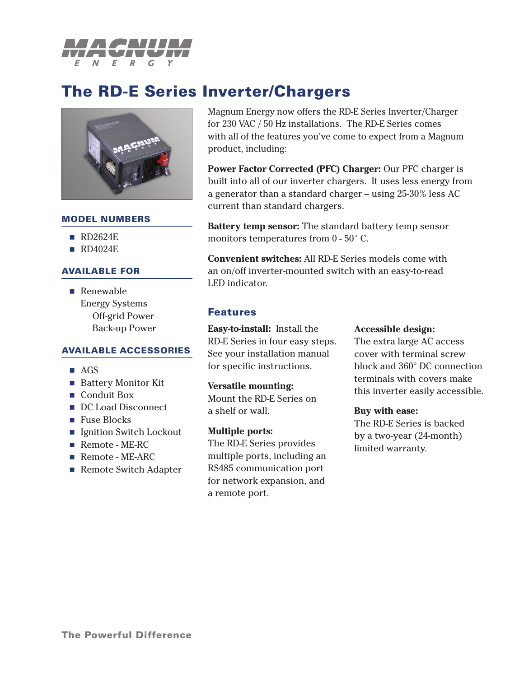

# **The RD-E Series Inverter/Chargers**



#### **MODEL NUMBERS**

- $\blacksquare$  RD2624E
- $\blacksquare$  RD4024E

## **AVAILABLE FOR**

■ Renewable Energy Systems Off-grid Power Back-up Power

## **AVAILABLE ACCESSORIES**

- $\blacksquare$  AGS
- Battery Monitor Kit
- Conduit Box
- DC Load Disconnect
- Fuse Blocks
- Ignition Switch Lockout
- Remote ME-RC
- Remote ME-ARC
- Remote Switch Adapter

Magnum Energy now offers the RD-E Series Inverter/Charger for 230 VAC / 50 Hz installations. The RD-E Series comes with all of the features you've come to expect from a Magnum product, including:

**Power Factor Corrected (PFC) Charger:** Our PFC charger is built into all of our inverter chargers. It uses less energy from a generator than a standard charger – using 25-30% less AC current than standard chargers.

**Battery temp sensor:** The standard battery temp sensor monitors temperatures from 0 - 50° C.

**Convenient switches:** All RD-E Series models come with an on/off inverter-mounted switch with an easy-to-read LED indicator.

# **Features**

**Easy-to-install:** Install the RD-E Series in four easy steps. See your installation manual for specific instructions.

#### **Versatile mounting:**

Mount the RD-E Series on a shelf or wall.

#### **Multiple ports:**

The RD-E Series provides multiple ports, including an RS485 communication port for network expansion, and a remote port.

#### **Accessible design:**

The extra large AC access cover with terminal screw block and 360° DC connection terminals with covers make this inverter easily accessible.

#### **Buy with ease:**

The RD-E Series is backed by a two-year (24-month) limited warranty.